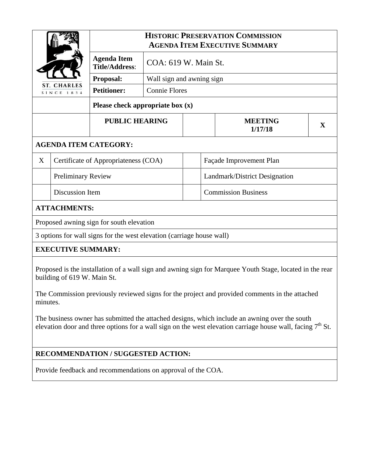| <b>ST. CHARLES</b><br>SINCE 1834                                                                         |                                      | <b>HISTORIC PRESERVATION COMMISSION</b><br><b>AGENDA ITEM EXECUTIVE SUMMARY</b> |                           |  |                               |   |  |
|----------------------------------------------------------------------------------------------------------|--------------------------------------|---------------------------------------------------------------------------------|---------------------------|--|-------------------------------|---|--|
|                                                                                                          |                                      | <b>Agenda Item</b><br><b>Title/Address:</b>                                     | COA: 619 W. Main St.      |  |                               |   |  |
|                                                                                                          |                                      | Proposal:                                                                       | Wall sign and awning sign |  |                               |   |  |
|                                                                                                          |                                      | <b>Petitioner:</b>                                                              | <b>Connie Flores</b>      |  |                               |   |  |
|                                                                                                          |                                      |                                                                                 |                           |  |                               |   |  |
|                                                                                                          |                                      | <b>PUBLIC HEARING</b>                                                           |                           |  | <b>MEETING</b><br>1/17/18     | X |  |
| <b>AGENDA ITEM CATEGORY:</b>                                                                             |                                      |                                                                                 |                           |  |                               |   |  |
| X                                                                                                        | Certificate of Appropriateness (COA) |                                                                                 |                           |  | Façade Improvement Plan       |   |  |
|                                                                                                          | <b>Preliminary Review</b>            |                                                                                 |                           |  | Landmark/District Designation |   |  |
|                                                                                                          | Discussion Item                      |                                                                                 |                           |  | <b>Commission Business</b>    |   |  |
| <b>ATTACHMENTS:</b>                                                                                      |                                      |                                                                                 |                           |  |                               |   |  |
| Proposed awning sign for south elevation                                                                 |                                      |                                                                                 |                           |  |                               |   |  |
| 3 options for wall signs for the west elevation (carriage house wall)                                    |                                      |                                                                                 |                           |  |                               |   |  |
| <b>EXECUTIVE SUMMARY:</b>                                                                                |                                      |                                                                                 |                           |  |                               |   |  |
| Proposed is the installation of a wall sign and awning sign for Marquee Youth Stage, located in the rear |                                      |                                                                                 |                           |  |                               |   |  |

Proposed is the installation of a wall sign and awning sign for Marquee Youth Stage, located in the rear building of 619 W. Main St.

The Commission previously reviewed signs for the project and provided comments in the attached minutes.

The business owner has submitted the attached designs, which include an awning over the south elevation door and three options for a wall sign on the west elevation carriage house wall, facing  $7<sup>th</sup>$  St.

## **RECOMMENDATION / SUGGESTED ACTION:**

Provide feedback and recommendations on approval of the COA.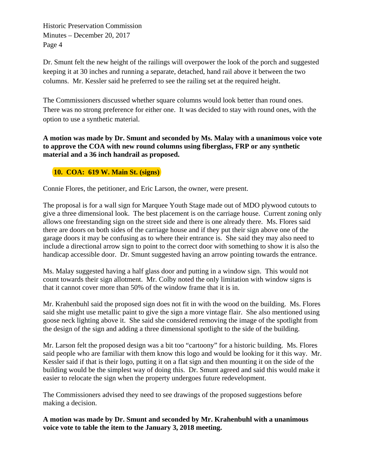Historic Preservation Commission Minutes – December 20, 2017 Page 4

Dr. Smunt felt the new height of the railings will overpower the look of the porch and suggested keeping it at 30 inches and running a separate, detached, hand rail above it between the two columns. Mr. Kessler said he preferred to see the railing set at the required height.

The Commissioners discussed whether square columns would look better than round ones. There was no strong preference for either one. It was decided to stay with round ones, with the option to use a synthetic material.

**A motion was made by Dr. Smunt and seconded by Ms. Malay with a unanimous voice vote to approve the COA with new round columns using fiberglass, FRP or any synthetic material and a 36 inch handrail as proposed.** 

## **10. COA: 619 W. Main St. (signs)**

Connie Flores, the petitioner, and Eric Larson, the owner, were present.

The proposal is for a wall sign for Marquee Youth Stage made out of MDO plywood cutouts to give a three dimensional look. The best placement is on the carriage house. Current zoning only allows one freestanding sign on the street side and there is one already there. Ms. Flores said there are doors on both sides of the carriage house and if they put their sign above one of the garage doors it may be confusing as to where their entrance is. She said they may also need to include a directional arrow sign to point to the correct door with something to show it is also the handicap accessible door. Dr. Smunt suggested having an arrow pointing towards the entrance.

Ms. Malay suggested having a half glass door and putting in a window sign. This would not count towards their sign allotment. Mr. Colby noted the only limitation with window signs is that it cannot cover more than 50% of the window frame that it is in.

Mr. Krahenbuhl said the proposed sign does not fit in with the wood on the building. Ms. Flores said she might use metallic paint to give the sign a more vintage flair. She also mentioned using goose neck lighting above it. She said she considered removing the image of the spotlight from the design of the sign and adding a three dimensional spotlight to the side of the building.

Mr. Larson felt the proposed design was a bit too "cartoony" for a historic building. Ms. Flores said people who are familiar with them know this logo and would be looking for it this way. Mr. Kessler said if that is their logo, putting it on a flat sign and then mounting it on the side of the building would be the simplest way of doing this. Dr. Smunt agreed and said this would make it easier to relocate the sign when the property undergoes future redevelopment.

The Commissioners advised they need to see drawings of the proposed suggestions before making a decision.

**A motion was made by Dr. Smunt and seconded by Mr. Krahenbuhl with a unanimous voice vote to table the item to the January 3, 2018 meeting.**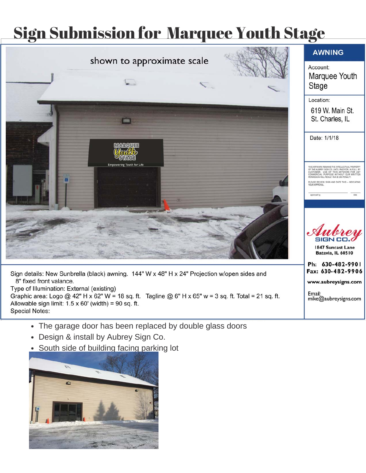## Sign Submission for Marquee Youth Stage



Sign details: New Sunbrella (black) awning. 144" W x 48" H x 24" Projection w/open sides and 8" fixed front valance.

Type of Illumination: External (existing)

Graphic area: Logo @ 42" H x 62" W = 18 sq. ft. Tagline @ 6" H x 65" w = 3 sq. ft. Total = 21 sq. ft. Allowable sign limit:  $1.5 \times 60'$  (width) = 90 sq. ft.

www.aubreysigns.com

mike@aubreysigns.com

Email:

- Special Notes:<br>
The garage door has been replaced by double glass doors
	- Design & install by Aubrey Sign Co.
	- South side of building facing parking lot